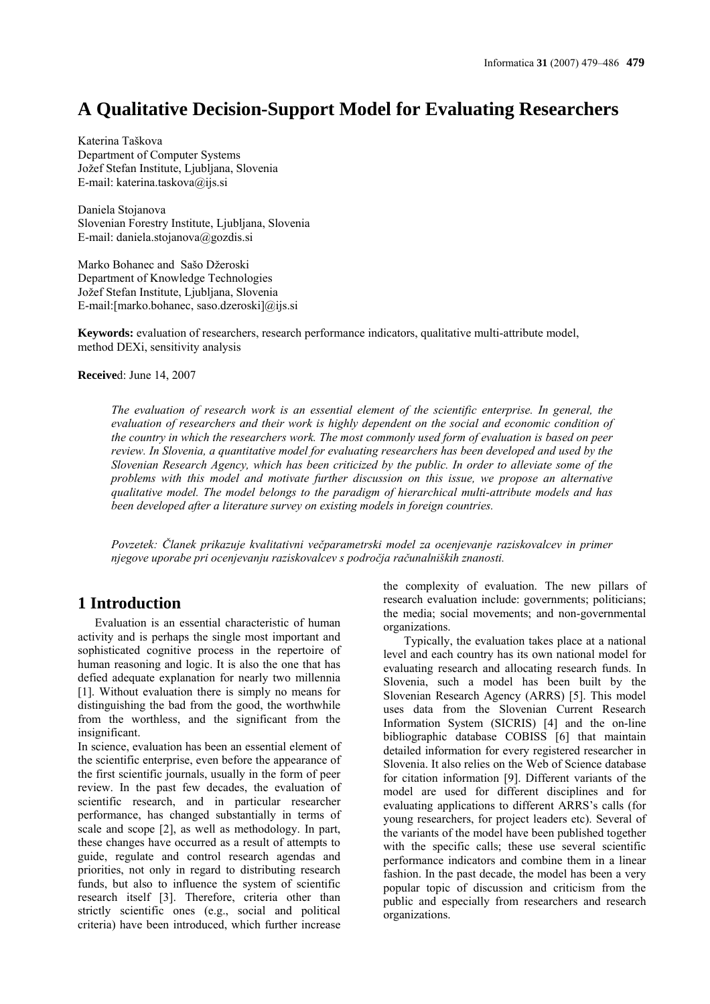# **A Qualitative Decision-Support Model for Evaluating Researchers**

Katerina Taškova Department of Computer Systems Jožef Stefan Institute, Ljubljana, Slovenia E-mail: katerina.taskova@ijs.si

Daniela Stojanova Slovenian Forestry Institute, Ljubljana, Slovenia E-mail: daniela.stojanova@gozdis.si

Marko Bohanec and Sašo Džeroski Department of Knowledge Technologies Jožef Stefan Institute, Ljubljana, Slovenia E-mail:[marko.bohanec, saso.dzeroski]@ijs.si

**Keywords:** evaluation of researchers, research performance indicators, qualitative multi-attribute model, method DEXi, sensitivity analysis

**Receive**d: June 14, 2007

*The evaluation of research work is an essential element of the scientific enterprise. In general, the evaluation of researchers and their work is highly dependent on the social and economic condition of the country in which the researchers work. The most commonly used form of evaluation is based on peer review. In Slovenia, a quantitative model for evaluating researchers has been developed and used by the Slovenian Research Agency, which has been criticized by the public. In order to alleviate some of the problems with this model and motivate further discussion on this issue, we propose an alternative qualitative model. The model belongs to the paradigm of hierarchical multi-attribute models and has been developed after a literature survey on existing models in foreign countries.* 

*Povzetek: Članek prikazuje kvalitativni večparametrski model za ocenjevanje raziskovalcev in primer njegove uporabe pri ocenjevanju raziskovalcev s področja računalniških znanosti.* 

### **1 Introduction**

Evaluation is an essential characteristic of human activity and is perhaps the single most important and sophisticated cognitive process in the repertoire of human reasoning and logic. It is also the one that has defied adequate explanation for nearly two millennia [1]. Without evaluation there is simply no means for distinguishing the bad from the good, the worthwhile from the worthless, and the significant from the insignificant.

In science, evaluation has been an essential element of the scientific enterprise, even before the appearance of the first scientific journals, usually in the form of peer review. In the past few decades, the evaluation of scientific research, and in particular researcher performance, has changed substantially in terms of scale and scope [2], as well as methodology. In part, these changes have occurred as a result of attempts to guide, regulate and control research agendas and priorities, not only in regard to distributing research funds, but also to influence the system of scientific research itself [3]. Therefore, criteria other than strictly scientific ones (e.g., social and political criteria) have been introduced, which further increase

the complexity of evaluation. The new pillars of research evaluation include: governments; politicians; the media; social movements; and non-governmental organizations.

Typically, the evaluation takes place at a national level and each country has its own national model for evaluating research and allocating research funds. In Slovenia, such a model has been built by the Slovenian Research Agency (ARRS) [5]. This model uses data from the Slovenian Current Research Information System (SICRIS) [4] and the on-line bibliographic database COBISS [6] that maintain detailed information for every registered researcher in Slovenia. It also relies on the Web of Science database for citation information [9]. Different variants of the model are used for different disciplines and for evaluating applications to different ARRS's calls (for young researchers, for project leaders etc). Several of the variants of the model have been published together with the specific calls; these use several scientific performance indicators and combine them in a linear fashion. In the past decade, the model has been a very popular topic of discussion and criticism from the public and especially from researchers and research organizations.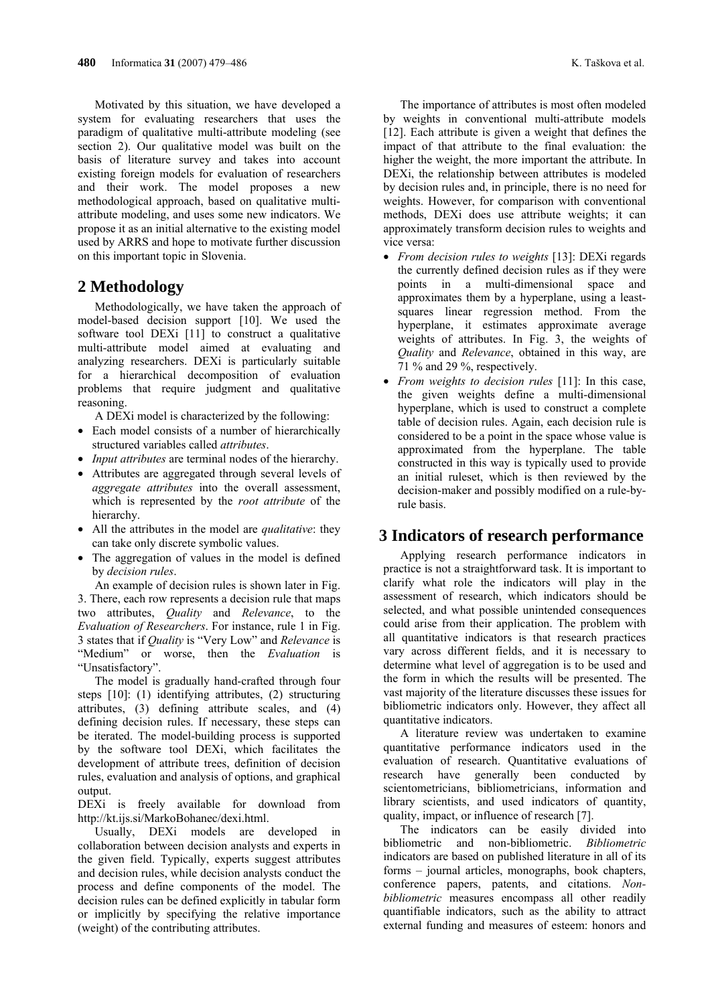Motivated by this situation, we have developed a system for evaluating researchers that uses the paradigm of qualitative multi-attribute modeling (see section 2). Our qualitative model was built on the basis of literature survey and takes into account existing foreign models for evaluation of researchers and their work. The model proposes a new methodological approach, based on qualitative multiattribute modeling, and uses some new indicators. We propose it as an initial alternative to the existing model used by ARRS and hope to motivate further discussion on this important topic in Slovenia.

#### **2 Methodology**

Methodologically, we have taken the approach of model-based decision support [10]. We used the software tool DEXi [11] to construct a qualitative multi-attribute model aimed at evaluating and analyzing researchers. DEXi is particularly suitable for a hierarchical decomposition of evaluation problems that require judgment and qualitative reasoning.

A DEXi model is characterized by the following:

- Each model consists of a number of hierarchically structured variables called *attributes*.
- *Input attributes* are terminal nodes of the hierarchy.
- Attributes are aggregated through several levels of *aggregate attributes* into the overall assessment, which is represented by the *root attribute* of the hierarchy.
- All the attributes in the model are *qualitative*: they can take only discrete symbolic values.
- The aggregation of values in the model is defined by *decision rules*.

An example of decision rules is shown later in Fig. 3. There, each row represents a decision rule that maps two attributes, *Quality* and *Relevance*, to the *Evaluation of Researchers*. For instance, rule 1 in Fig. 3 states that if *Quality* is "Very Low" and *Relevance* is "Medium" or worse, then the *Evaluation* is "Unsatisfactory".

The model is gradually hand-crafted through four steps [10]: (1) identifying attributes, (2) structuring attributes, (3) defining attribute scales, and (4) defining decision rules. If necessary, these steps can be iterated. The model-building process is supported by the software tool DEXi, which facilitates the development of attribute trees, definition of decision rules, evaluation and analysis of options, and graphical output.

DEXi is freely available for download from http://kt.ijs.si/MarkoBohanec/dexi.html.

Usually, DEXi models are developed in collaboration between decision analysts and experts in the given field. Typically, experts suggest attributes and decision rules, while decision analysts conduct the process and define components of the model. The decision rules can be defined explicitly in tabular form or implicitly by specifying the relative importance (weight) of the contributing attributes.

The importance of attributes is most often modeled by weights in conventional multi-attribute models [12]. Each attribute is given a weight that defines the impact of that attribute to the final evaluation: the higher the weight, the more important the attribute. In DEXi, the relationship between attributes is modeled by decision rules and, in principle, there is no need for weights. However, for comparison with conventional methods, DEXi does use attribute weights; it can approximately transform decision rules to weights and vice versa:

- *From decision rules to weights* [13]: DEXi regards the currently defined decision rules as if they were points in a multi-dimensional space and approximates them by a hyperplane, using a leastsquares linear regression method. From the hyperplane, it estimates approximate average weights of attributes. In Fig. 3, the weights of *Quality* and *Relevance*, obtained in this way, are 71 % and 29 %, respectively.
- *From weights to decision rules* [11]: In this case, the given weights define a multi-dimensional hyperplane, which is used to construct a complete table of decision rules. Again, each decision rule is considered to be a point in the space whose value is approximated from the hyperplane. The table constructed in this way is typically used to provide an initial ruleset, which is then reviewed by the decision-maker and possibly modified on a rule-byrule basis.

#### **3 Indicators of research performance**

Applying research performance indicators in practice is not a straightforward task. It is important to clarify what role the indicators will play in the assessment of research, which indicators should be selected, and what possible unintended consequences could arise from their application. The problem with all quantitative indicators is that research practices vary across different fields, and it is necessary to determine what level of aggregation is to be used and the form in which the results will be presented. The vast majority of the literature discusses these issues for bibliometric indicators only. However, they affect all quantitative indicators.

A literature review was undertaken to examine quantitative performance indicators used in the evaluation of research. Quantitative evaluations of research have generally been conducted by scientometricians, bibliometricians, information and library scientists, and used indicators of quantity, quality, impact, or influence of research [7].

The indicators can be easily divided into bibliometric and non-bibliometric. *Bibliometric* indicators are based on published literature in all of its forms – journal articles, monographs, book chapters, conference papers, patents, and citations. *Nonbibliometric* measures encompass all other readily quantifiable indicators, such as the ability to attract external funding and measures of esteem: honors and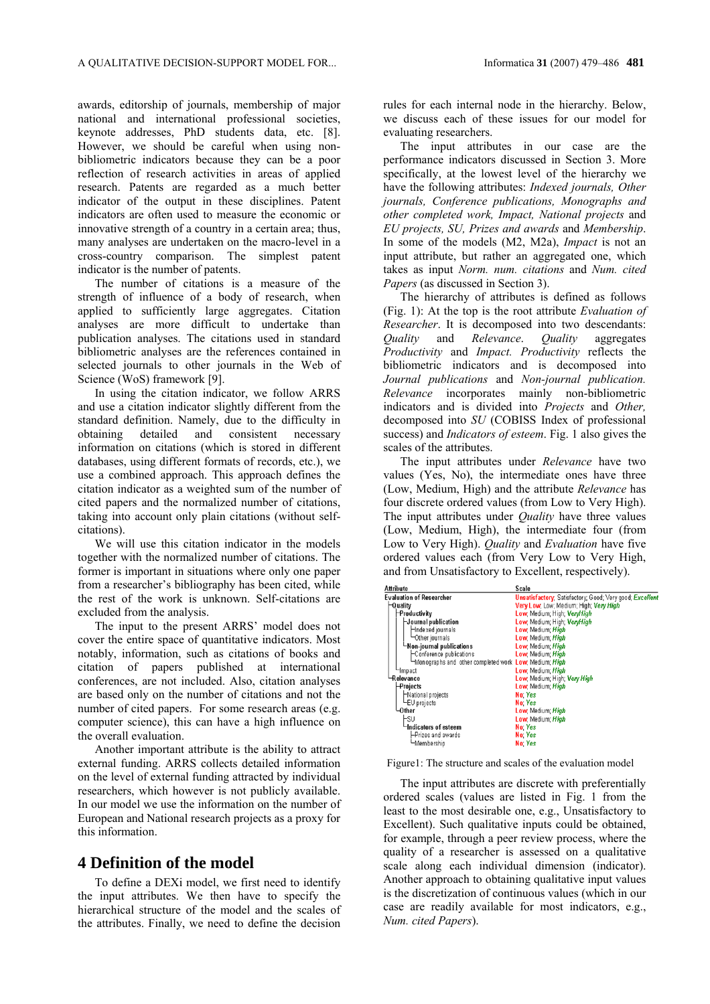awards, editorship of journals, membership of major national and international professional societies, keynote addresses, PhD students data, etc. [8]. However, we should be careful when using nonbibliometric indicators because they can be a poor reflection of research activities in areas of applied research. Patents are regarded as a much better indicator of the output in these disciplines. Patent indicators are often used to measure the economic or innovative strength of a country in a certain area; thus, many analyses are undertaken on the macro-level in a cross-country comparison. The simplest patent indicator is the number of patents.

The number of citations is a measure of the strength of influence of a body of research, when applied to sufficiently large aggregates. Citation analyses are more difficult to undertake than publication analyses. The citations used in standard bibliometric analyses are the references contained in selected journals to other journals in the Web of Science (WoS) framework [9].

In using the citation indicator, we follow ARRS and use a citation indicator slightly different from the standard definition. Namely, due to the difficulty in obtaining detailed and consistent necessary information on citations (which is stored in different databases, using different formats of records, etc.), we use a combined approach. This approach defines the citation indicator as a weighted sum of the number of cited papers and the normalized number of citations, taking into account only plain citations (without selfcitations).

We will use this citation indicator in the models together with the normalized number of citations. The former is important in situations where only one paper from a researcher's bibliography has been cited, while the rest of the work is unknown. Self-citations are excluded from the analysis.

The input to the present ARRS' model does not cover the entire space of quantitative indicators. Most notably, information, such as citations of books and citation of papers published at international conferences, are not included. Also, citation analyses are based only on the number of citations and not the number of cited papers. For some research areas (e.g. computer science), this can have a high influence on the overall evaluation.

Another important attribute is the ability to attract external funding. ARRS collects detailed information on the level of external funding attracted by individual researchers, which however is not publicly available. In our model we use the information on the number of European and National research projects as a proxy for this information.

### **4 Definition of the model**

To define a DEXi model, we first need to identify the input attributes. We then have to specify the hierarchical structure of the model and the scales of the attributes. Finally, we need to define the decision

rules for each internal node in the hierarchy. Below, we discuss each of these issues for our model for evaluating researchers.

The input attributes in our case are the performance indicators discussed in Section 3. More specifically, at the lowest level of the hierarchy we have the following attributes: *Indexed journals, Other journals, Conference publications, Monographs and other completed work, Impact, National projects* and *EU projects, SU, Prizes and awards* and *Membership*. In some of the models (M2, M2a), *Impact* is not an input attribute, but rather an aggregated one, which takes as input *Norm. num. citations* and *Num. cited Papers* (as discussed in Section 3).

The hierarchy of attributes is defined as follows (Fig. 1): At the top is the root attribute *Evaluation of Researcher*. It is decomposed into two descendants: *Quality* and *Relevance*. *Quality* aggregates *Productivity* and *Impact. Productivity* reflects the bibliometric indicators and is decomposed into *Journal publications* and *Non-journal publication. Relevance* incorporates mainly non-bibliometric indicators and is divided into *Projects* and *Other,*  decomposed into *SU* (COBISS Index of professional success) and *Indicators of esteem*. Fig. 1 also gives the scales of the attributes.

The input attributes under *Relevance* have two values (Yes, No), the intermediate ones have three (Low, Medium, High) and the attribute *Relevance* has four discrete ordered values (from Low to Very High). The input attributes under *Quality* have three values (Low, Medium, High), the intermediate four (from Low to Very High). *Quality* and *Evaluation* have five ordered values each (from Very Low to Very High, and from Unsatisfactory to Excellent, respectively).

| Attribute                                             | <b>Scale</b>                                                    |
|-------------------------------------------------------|-----------------------------------------------------------------|
| <b>Evaluation of Researcher</b>                       | <b>Unsatisfactory:</b> Satisfactory: Good: Very good: Excellent |
| —Quality                                              | Very Low, Low: Medium; High; Very High                          |
| -Productivity                                         | Low, Medium; High; VeryHigh                                     |
| -Journal publication                                  | Low, Medium; High; VeryHigh                                     |
| -Indexed journals                                     | Low, Medium; High                                               |
| └─Other journals                                      | Low, Medium; High                                               |
| └Non-journal publications└                            | Low. Medium: High                                               |
| ├Conference publications                              | Low, Medium: High                                               |
| Monographs and other completed work Low, Medium; High |                                                                 |
| —Impact                                               | Low, Medium; High                                               |
| Relevance                                             | Low, Medium; High; Very High                                    |
| -Projects                                             | Low, Medium; High                                               |
| National projects                                     | No Yes                                                          |
| └EU projects                                          | No Yes                                                          |
| -Other                                                | Low, Medium; High                                               |
| Fsu                                                   | Low, Medium; <i>High</i>                                        |
| Indicators of esteem                                  | No Yes                                                          |
| ⊢Prizes and awards                                    | No Yes                                                          |
| └Membership                                           | No Yes                                                          |

Figure1: The structure and scales of the evaluation model

The input attributes are discrete with preferentially ordered scales (values are listed in Fig. 1 from the least to the most desirable one, e.g., Unsatisfactory to Excellent). Such qualitative inputs could be obtained, for example, through a peer review process, where the quality of a researcher is assessed on a qualitative scale along each individual dimension (indicator). Another approach to obtaining qualitative input values is the discretization of continuous values (which in our case are readily available for most indicators, e.g., *Num. cited Papers*).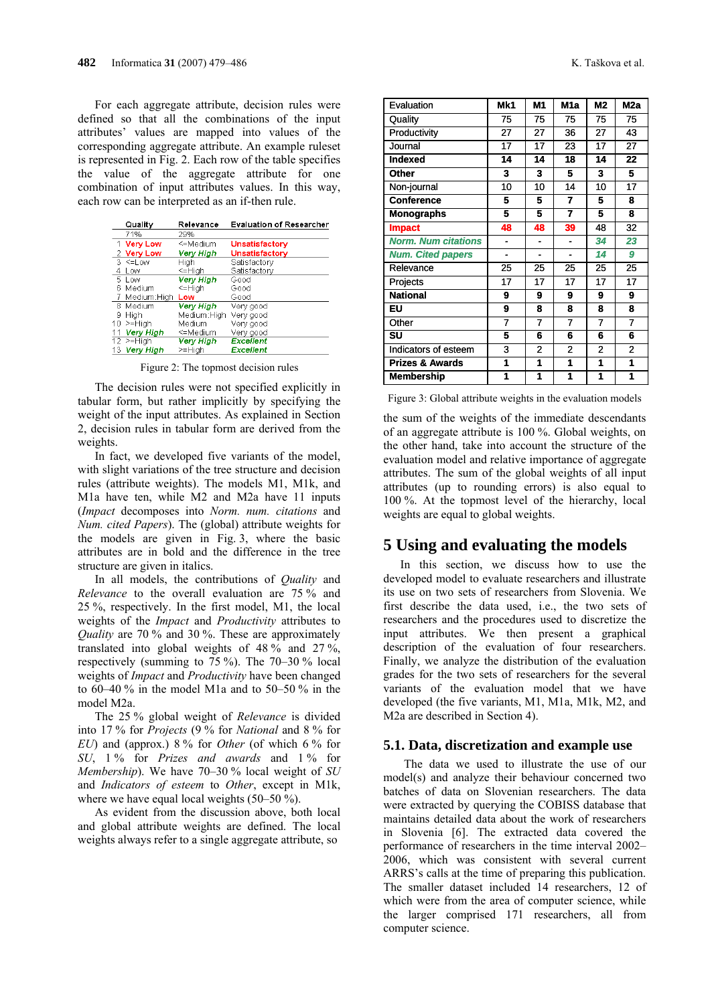For each aggregate attribute, decision rules were defined so that all the combinations of the input attributes' values are mapped into values of the corresponding aggregate attribute. An example ruleset is represented in Fig. 2. Each row of the table specifies the value of the aggregate attribute for one combination of input attributes values. In this way, each row can be interpreted as an if-then rule.

|    | Quality                | Relevance        | <b>Evaluation of Researcher</b> |
|----|------------------------|------------------|---------------------------------|
|    | 71%                    | 29%              |                                 |
|    | 1 Very Low             | <=Medium         | Unsatisfactory                  |
|    | 2 Very Low             | Very High        | Unsatisfactory                  |
|    | $3 \leq$ Low           | Hiah             | Satisfactorv                    |
| 4  | Low                    | $=$ High         | Satisfactory                    |
|    | 5 Low                  | <b>Very High</b> | Good                            |
| ൳  | Medium                 | <=High           | Good                            |
|    | Medium:Hiah            | Low              | Good                            |
|    | 8 Medium               | Verv Hiah        | Verv good                       |
| 9  | High                   | Medium:Hiah      | Very good                       |
| 10 | $>=$ High              | Medium           | Very good                       |
| 11 | Very High              | <=Medium         | Very good                       |
|    | $\overline{12}$ >=High | Very High        | <b>Excellent</b>                |
|    | 13 Very High           | $>=$ High        | Excellent                       |

Figure 2: The topmost decision rules

The decision rules were not specified explicitly in tabular form, but rather implicitly by specifying the weight of the input attributes. As explained in Section 2, decision rules in tabular form are derived from the weights.

In fact, we developed five variants of the model, with slight variations of the tree structure and decision rules (attribute weights). The models M1, M1k, and M1a have ten, while M2 and M2a have 11 inputs (*Impact* decomposes into *Norm. num. citations* and *Num. cited Papers*). The (global) attribute weights for the models are given in Fig. 3, where the basic attributes are in bold and the difference in the tree structure are given in italics.

In all models, the contributions of *Quality* and *Relevance* to the overall evaluation are 75 % and 25 %, respectively. In the first model, M1, the local weights of the *Impact* and *Productivity* attributes to *Quality* are 70 % and 30 %. These are approximately translated into global weights of 48 % and 27 %, respectively (summing to 75 %). The 70–30 % local weights of *Impact* and *Productivity* have been changed to  $60-40\%$  in the model M<sub>1</sub> and to  $50-50\%$  in the model M2a.

The 25 % global weight of *Relevance* is divided into 17 % for *Projects* (9 % for *National* and 8 % for *EU*) and (approx.) 8 % for *Other* (of which 6 % for *SU*, 1 % for *Prizes and awards* and 1 % for *Membership*). We have 70–30 % local weight of *SU* and *Indicators of esteem* to *Other*, except in M1k, where we have equal local weights (50–50 %).

As evident from the discussion above, both local and global attribute weights are defined. The local weights always refer to a single aggregate attribute, so

| Evaluation                 | Mk1 | M1             | M <sub>1</sub> a         | <b>M2</b>      | M <sub>2a</sub> |
|----------------------------|-----|----------------|--------------------------|----------------|-----------------|
| Quality                    | 75  | 75             | 75                       | 75             | 75              |
| Productivity               | 27  | 27             | 36                       | 27             | 43              |
| Journal                    | 17  | 17             | 23                       | 17             | 27              |
| <b>Indexed</b>             | 14  | 14             | 18                       | 14             | 22              |
| Other                      | 3   | 3              | 5                        | 3              | 5               |
| Non-journal                | 10  | 10             | 14                       | 10             | 17              |
| <b>Conference</b>          | 5   | 5              | $\overline{7}$           | 5              | 8               |
| <b>Monographs</b>          | 5   | 5              | $\overline{7}$           | 5              | 8               |
| <b>Impact</b>              | 48  | 48             | 39                       | 48             | 32              |
| <b>Norm. Num citations</b> |     | L.             | $\overline{\phantom{a}}$ | 34             | 23              |
| <b>Num. Cited papers</b>   | L,  |                |                          | 14             | 9               |
| Relevance                  | 25  | 25             | 25                       | 25             | 25              |
| Projects                   | 17  | 17             | 17                       | 17             | 17              |
| <b>National</b>            | 9   | 9              | 9                        | 9              | 9               |
| EU                         | 9   | 8              | 8                        | 8              | 8               |
| Other                      | 7   | 7              | 7                        | 7              | 7               |
| SU                         | 5   | 6              | 6                        | 6              | 6               |
| Indicators of esteem       | 3   | $\overline{2}$ | $\overline{2}$           | $\overline{2}$ | $\overline{c}$  |
| <b>Prizes &amp; Awards</b> | 1   | 1              | 1                        | 1              | 1               |
| <b>Membership</b>          | 1   | 1              | 1                        | 1              | 1               |

Figure 3: Global attribute weights in the evaluation models

the sum of the weights of the immediate descendants of an aggregate attribute is 100 %. Global weights, on the other hand, take into account the structure of the evaluation model and relative importance of aggregate attributes. The sum of the global weights of all input attributes (up to rounding errors) is also equal to 100 %. At the topmost level of the hierarchy, local weights are equal to global weights.

## **5 Using and evaluating the models**

In this section, we discuss how to use the developed model to evaluate researchers and illustrate its use on two sets of researchers from Slovenia. We first describe the data used, i.e., the two sets of researchers and the procedures used to discretize the input attributes. We then present a graphical description of the evaluation of four researchers. Finally, we analyze the distribution of the evaluation grades for the two sets of researchers for the several variants of the evaluation model that we have developed (the five variants, M1, M1a, M1k, M2, and M2a are described in Section 4).

### **5.1. Data, discretization and example use**

The data we used to illustrate the use of our model(s) and analyze their behaviour concerned two batches of data on Slovenian researchers. The data were extracted by querying the COBISS database that maintains detailed data about the work of researchers in Slovenia [6]. The extracted data covered the performance of researchers in the time interval 2002– 2006, which was consistent with several current ARRS's calls at the time of preparing this publication. The smaller dataset included 14 researchers, 12 of which were from the area of computer science, while the larger comprised 171 researchers, all from computer science.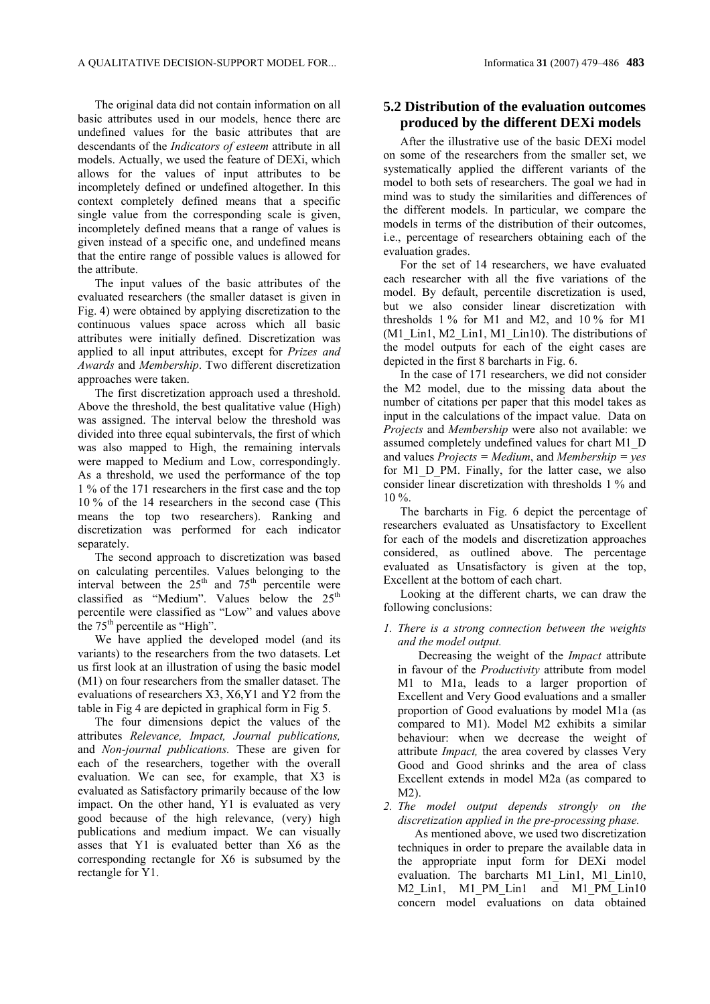The original data did not contain information on all basic attributes used in our models, hence there are undefined values for the basic attributes that are descendants of the *Indicators of esteem* attribute in all models. Actually, we used the feature of DEXi, which allows for the values of input attributes to be incompletely defined or undefined altogether. In this context completely defined means that a specific single value from the corresponding scale is given, incompletely defined means that a range of values is given instead of a specific one, and undefined means that the entire range of possible values is allowed for the attribute.

The input values of the basic attributes of the evaluated researchers (the smaller dataset is given in Fig. 4) were obtained by applying discretization to the continuous values space across which all basic attributes were initially defined. Discretization was applied to all input attributes, except for *Prizes and Awards* and *Membership*. Two different discretization approaches were taken.

The first discretization approach used a threshold. Above the threshold, the best qualitative value (High) was assigned. The interval below the threshold was divided into three equal subintervals, the first of which was also mapped to High, the remaining intervals were mapped to Medium and Low, correspondingly. As a threshold, we used the performance of the top 1 % of the 171 researchers in the first case and the top 10 % of the 14 researchers in the second case (This means the top two researchers). Ranking and discretization was performed for each indicator separately.

The second approach to discretization was based on calculating percentiles. Values belonging to the interval between the  $25<sup>th</sup>$  and  $75<sup>th</sup>$  percentile were classified as "Medium". Values below the  $25<sup>th</sup>$ percentile were classified as "Low" and values above the  $75<sup>th</sup>$  percentile as "High".

We have applied the developed model (and its variants) to the researchers from the two datasets. Let us first look at an illustration of using the basic model (M1) on four researchers from the smaller dataset. The evaluations of researchers X3, X6,Y1 and Y2 from the table in Fig 4 are depicted in graphical form in Fig 5.

The four dimensions depict the values of the attributes *Relevance, Impact, Journal publications,* and *Non-journal publications.* These are given for each of the researchers, together with the overall evaluation. We can see, for example, that X3 is evaluated as Satisfactory primarily because of the low impact. On the other hand, Y1 is evaluated as very good because of the high relevance, (very) high publications and medium impact. We can visually asses that Y1 is evaluated better than X6 as the corresponding rectangle for X6 is subsumed by the rectangle for Y1.

### **5.2 Distribution of the evaluation outcomes produced by the different DEXi models**

After the illustrative use of the basic DEXi model on some of the researchers from the smaller set, we systematically applied the different variants of the model to both sets of researchers. The goal we had in mind was to study the similarities and differences of the different models. In particular, we compare the models in terms of the distribution of their outcomes, i.e., percentage of researchers obtaining each of the evaluation grades.

For the set of 14 researchers, we have evaluated each researcher with all the five variations of the model. By default, percentile discretization is used, but we also consider linear discretization with thresholds 1 % for M1 and M2, and 10 % for M1 (M1\_Lin1, M2\_Lin1, M1\_Lin10). The distributions of the model outputs for each of the eight cases are depicted in the first 8 barcharts in Fig. 6.

In the case of 171 researchers, we did not consider the M2 model, due to the missing data about the number of citations per paper that this model takes as input in the calculations of the impact value. Data on *Projects* and *Membership* were also not available: we assumed completely undefined values for chart M1\_D and values *Projects = Medium*, and *Membership = yes* for M1<sub>D</sub> PM. Finally, for the latter case, we also consider linear discretization with thresholds 1 % and  $10\%$ 

The barcharts in Fig. 6 depict the percentage of researchers evaluated as Unsatisfactory to Excellent for each of the models and discretization approaches considered, as outlined above. The percentage evaluated as Unsatisfactory is given at the top, Excellent at the bottom of each chart.

Looking at the different charts, we can draw the following conclusions:

#### *1. There is a strong connection between the weights and the model output.*

Decreasing the weight of the *Impact* attribute in favour of the *Productivity* attribute from model M1 to M1a, leads to a larger proportion of Excellent and Very Good evaluations and a smaller proportion of Good evaluations by model M1a (as compared to M1). Model M2 exhibits a similar behaviour: when we decrease the weight of attribute *Impact,* the area covered by classes Very Good and Good shrinks and the area of class Excellent extends in model M2a (as compared to  $M<sub>2</sub>$ 

*2. The model output depends strongly on the discretization applied in the pre-processing phase.* 

As mentioned above, we used two discretization techniques in order to prepare the available data in the appropriate input form for DEXi model evaluation. The barcharts M1\_Lin1, M1\_Lin10, M2\_Lin1, M1\_PM\_Lin1 and M1\_PM\_Lin10 concern model evaluations on data obtained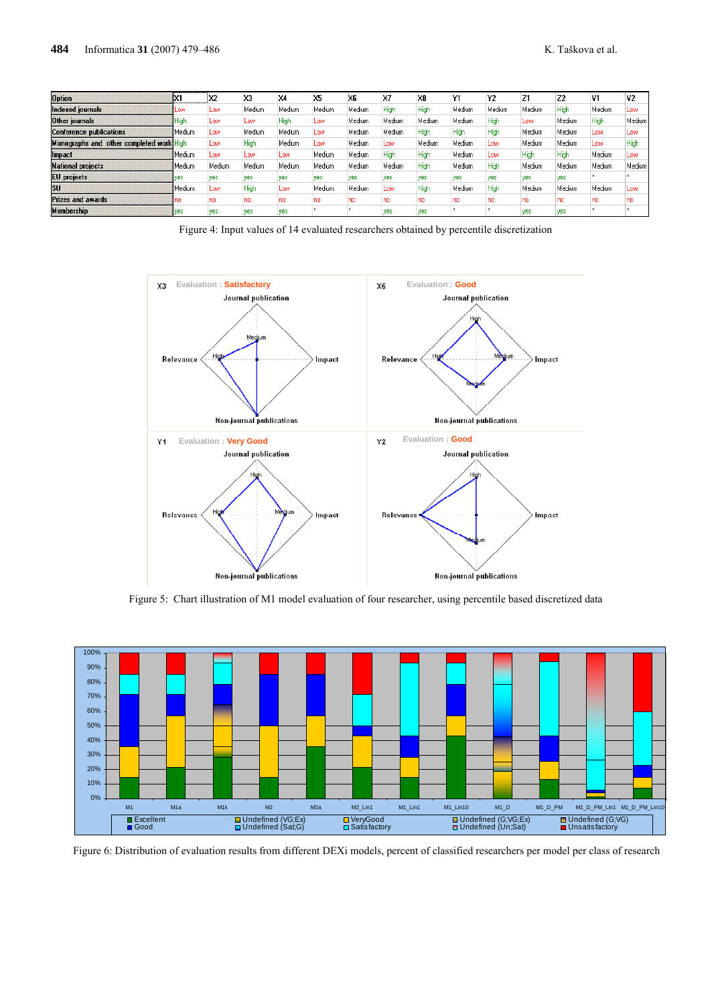| <b>Option</b>                            |          | X2     | X3     | $\times$ | X <sub>5</sub> | X <sub>6</sub> | X7     | X <sub>8</sub> | Υ1         | Y2     | Z1     | Z <sub>2</sub> | V1     | V <sub>2</sub> |
|------------------------------------------|----------|--------|--------|----------|----------------|----------------|--------|----------------|------------|--------|--------|----------------|--------|----------------|
| Indexed journals                         | LOW.     | Low    | Medium | Medium   | Medium         | Medium         | High   | High           | Medium     | Medium | Medium | High           | Medium | Low            |
| Other journals                           | High     | Low    | Low    | High     | Low            | Medium         | Medium | Medium         | Medium     | High   | Low    | Medium         | High   | Medium         |
| <b>Conference publications</b>           | Medium   | Low    | Medium | Medium   | Low            | Medium         | Medium | High           | High       | High   | Medium | Medium         | Low    | Low            |
| Monographs and other completed work High |          | Low    | High   | Medium   | Low.           | Medium         | Low    | Medium         | Medium     | Low    | Medium | Medium         | LOW.   | High           |
| Impact                                   | l Medium | Low    | Low    | Low      | Medium         | Medium         | High   | High           | Medium     | Low    | High   | <b>High</b>    | Medium | Low            |
| <b>National projects</b>                 | Medium   | Medium | Medium | Medium   | Medium         | Medium         | Medium | High           | Medium     | High   | Medium | Medium         | Medium | Medium         |
| <b>EU</b> projects                       | ves      | ves    | yes    | ves      | ves            | <b>ves</b>     | yes    | <b>ves</b>     | <b>ves</b> | ves    | yes    | ves            |        |                |
| <b>SU</b>                                | Medium   | Low    | High   | Low      | Medium         | Medium         | Low    | High           | Medium     | High   | Medium | Medium         | Medium | Low            |
| <b>Prizes and awards</b>                 |          | no     | no     | no       | no             | no             | no     | no             | no         | no     | no     | no             | no     | no             |
| <b>Membership</b>                        | ves      | yes    | yes    | yes      |                |                | yes    | yes            |            |        | yes    | yes            |        |                |

Figure 4: Input values of 14 evaluated researchers obtained by percentile discretization



Figure 5: Chart illustration of M1 model evaluation of four researcher, using percentile based discretized data



Figure 6: Distribution of evaluation results from different DEXi models, percent of classified researchers per model per class of research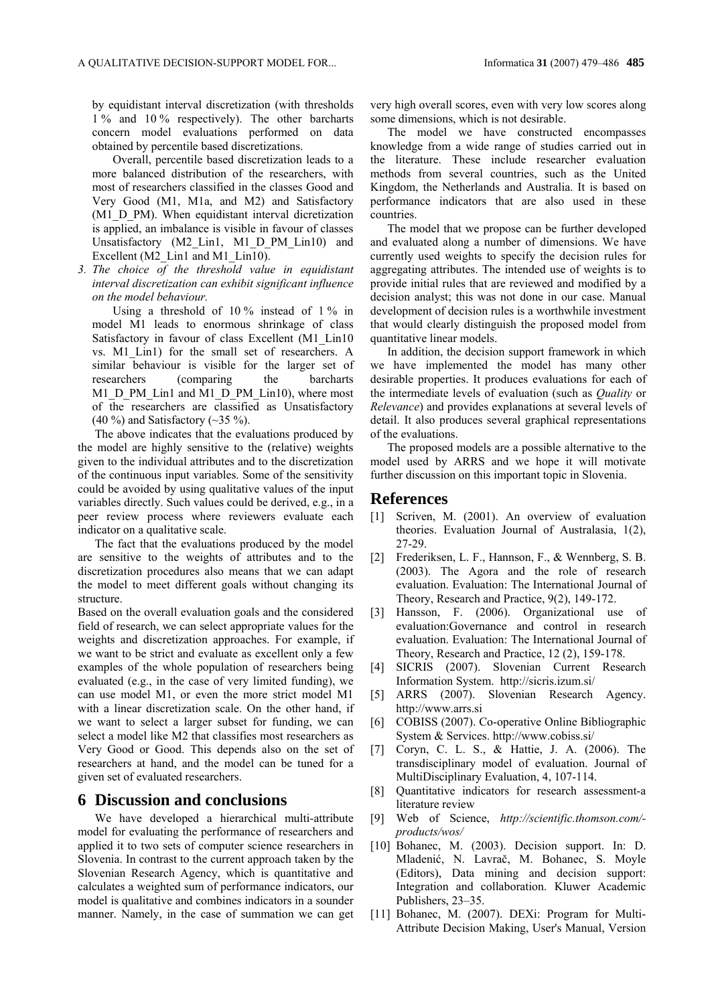by equidistant interval discretization (with thresholds 1 % and 10 % respectively). The other barcharts concern model evaluations performed on data obtained by percentile based discretizations.

Overall, percentile based discretization leads to a more balanced distribution of the researchers, with most of researchers classified in the classes Good and Very Good (M1, M1a, and M2) and Satisfactory (M1\_D\_PM). When equidistant interval dicretization is applied, an imbalance is visible in favour of classes Unsatisfactory (M2\_Lin1, M1\_D\_PM\_Lin10) and Excellent (M2 Lin1 and M1 Lin10).

*3. The choice of the threshold value in equidistant interval discretization can exhibit significant influence on the model behaviour.* 

Using a threshold of  $10\%$  instead of  $1\%$  in model M1 leads to enormous shrinkage of class Satisfactory in favour of class Excellent (M1 Lin10 vs. M1\_Lin1) for the small set of researchers. A similar behaviour is visible for the larger set of researchers (comparing the barcharts M1\_D\_PM\_Lin1 and M1\_D\_PM\_Lin10), where most of the researchers are classified as Unsatisfactory  $(40\%)$  and Satisfactory  $(\sim]35\%$ ).

The above indicates that the evaluations produced by the model are highly sensitive to the (relative) weights given to the individual attributes and to the discretization of the continuous input variables. Some of the sensitivity could be avoided by using qualitative values of the input variables directly. Such values could be derived, e.g., in a peer review process where reviewers evaluate each indicator on a qualitative scale.

The fact that the evaluations produced by the model are sensitive to the weights of attributes and to the discretization procedures also means that we can adapt the model to meet different goals without changing its structure.

Based on the overall evaluation goals and the considered field of research, we can select appropriate values for the weights and discretization approaches. For example, if we want to be strict and evaluate as excellent only a few examples of the whole population of researchers being evaluated (e.g., in the case of very limited funding), we can use model M1, or even the more strict model M1 with a linear discretization scale. On the other hand, if we want to select a larger subset for funding, we can select a model like M2 that classifies most researchers as Very Good or Good. This depends also on the set of researchers at hand, and the model can be tuned for a given set of evaluated researchers.

#### **6 Discussion and conclusions**

We have developed a hierarchical multi-attribute model for evaluating the performance of researchers and applied it to two sets of computer science researchers in Slovenia. In contrast to the current approach taken by the Slovenian Research Agency, which is quantitative and calculates a weighted sum of performance indicators, our model is qualitative and combines indicators in a sounder manner. Namely, in the case of summation we can get very high overall scores, even with very low scores along some dimensions, which is not desirable.

The model we have constructed encompasses knowledge from a wide range of studies carried out in the literature. These include researcher evaluation methods from several countries, such as the United Kingdom, the Netherlands and Australia. It is based on performance indicators that are also used in these countries.

The model that we propose can be further developed and evaluated along a number of dimensions. We have currently used weights to specify the decision rules for aggregating attributes. The intended use of weights is to provide initial rules that are reviewed and modified by a decision analyst; this was not done in our case. Manual development of decision rules is a worthwhile investment that would clearly distinguish the proposed model from quantitative linear models.

In addition, the decision support framework in which we have implemented the model has many other desirable properties. It produces evaluations for each of the intermediate levels of evaluation (such as *Quality* or *Relevance*) and provides explanations at several levels of detail. It also produces several graphical representations of the evaluations.

The proposed models are a possible alternative to the model used by ARRS and we hope it will motivate further discussion on this important topic in Slovenia.

#### **References**

- [1] Scriven, M. (2001). An overview of evaluation theories. Evaluation Journal of Australasia, 1(2), 27-29.
- [2] Frederiksen, L. F., Hannson, F., & Wennberg, S. B. (2003). The Agora and the role of research evaluation. Evaluation: The International Journal of Theory, Research and Practice, 9(2), 149-172.
- [3] Hansson, F. (2006). Organizational use of evaluation:Governance and control in research evaluation. Evaluation: The International Journal of Theory, Research and Practice, 12 (2), 159-178.
- [4] SICRIS (2007). Slovenian Current Research Information System. http://sicris.izum.si/
- [5] ARRS (2007). Slovenian Research Agency. http://www.arrs.si
- [6] COBISS (2007). Co-operative Online Bibliographic System & Services. http://www.cobiss.si/
- [7] Coryn, C. L. S., & Hattie, J. A. (2006). The transdisciplinary model of evaluation. Journal of MultiDisciplinary Evaluation, 4, 107-114.
- [8] Quantitative indicators for research assessment-a literature review
- [9] Web of Science, *http://scientific.thomson.com/ products/wos/*
- [10] Bohanec, M. (2003). Decision support. In: D. Mladenić, N. Lavrač, M. Bohanec, S. Moyle (Editors), Data mining and decision support: Integration and collaboration. Kluwer Academic Publishers, 23–35.
- [11] Bohanec, M. (2007). DEXi: Program for Multi-Attribute Decision Making, User's Manual, Version